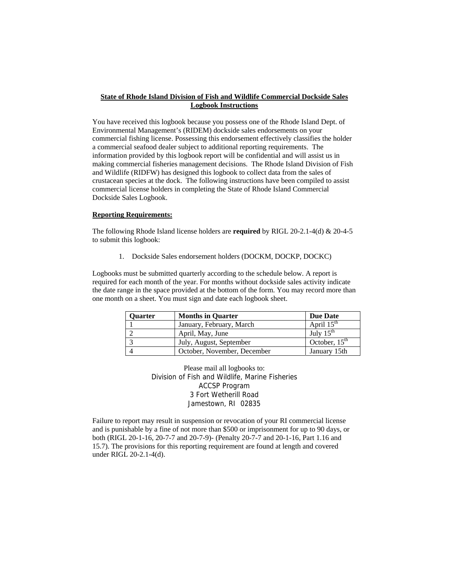## **State of Rhode Island Division of Fish and Wildlife Commercial Dockside Sales Logbook Instructions**

You have received this logbook because you possess one of the Rhode Island Dept. of Environmental Management's (RIDEM) dockside sales endorsements on your commercial fishing license. Possessing this endorsement effectively classifies the holder a commercial seafood dealer subject to additional reporting requirements. The information provided by this logbook report will be confidential and will assist us in making commercial fisheries management decisions. The Rhode Island Division of Fish and Wildlife (RIDFW) has designed this logbook to collect data from the sales of crustacean species at the dock. The following instructions have been compiled to assist commercial license holders in completing the State of Rhode Island Commercial Dockside Sales Logbook.

## **Reporting Requirements:**

The following Rhode Island license holders are **required** by RIGL 20-2.1-4(d) & 20-4-5 to submit this logbook:

1. Dockside Sales endorsement holders (DOCKM, DOCKP, DOCKC)

Logbooks must be submitted quarterly according to the schedule below. A report is required for each month of the year. For months without dockside sales activity indicate the date range in the space provided at the bottom of the form. You may record more than one month on a sheet. You must sign and date each logbook sheet.

| <b>Ouarter</b> | <b>Months in Quarter</b>    | <b>Due Date</b>        |
|----------------|-----------------------------|------------------------|
|                | January, February, March    | April $15^{\text{th}}$ |
|                | April, May, June            | July $15^{\text{th}}$  |
| $\sim$         | July, August, September     | October, $15th$        |
|                | October, November, December | January 15th           |

Please mail all logbooks to: Division of Fish and Wildlife, Marine Fisheries ACCSP Program 3 Fort Wetherill Road Jamestown, RI 02835

Failure to report may result in suspension or revocation of your RI commercial license and is punishable by a fine of not more than \$500 or imprisonment for up to 90 days, or both (RIGL 20-1-16, 20-7-7 and 20-7-9)- (Penalty 20-7-7 and 20-1-16, Part 1.16 and 15.7). The provisions for this reporting requirement are found at length and covered under RIGL 20-2.1-4(d).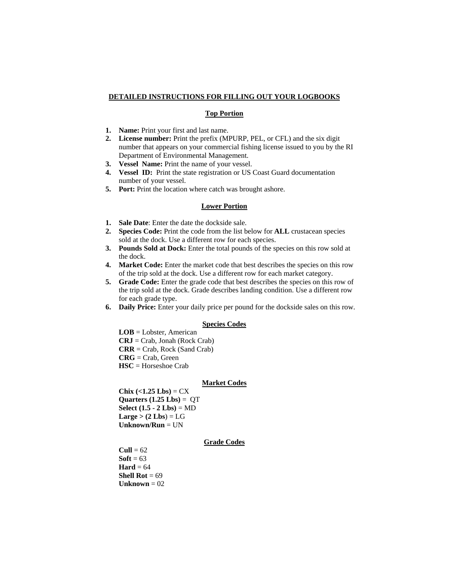### **DETAILED INSTRUCTIONS FOR FILLING OUT YOUR LOGBOOKS**

## **Top Portion**

- **1. Name:** Print your first and last name.
- **2. License number:** Print the prefix (MPURP, PEL, or CFL) and the six digit number that appears on your commercial fishing license issued to you by the RI Department of Environmental Management.
- **3.** Vessel Name: Print the name of your vessel.
- **4. Vessel ID:** Print the state registration or US Coast Guard documentation number of your vessel.
- **5. Port:** Print the location where catch was brought ashore.

#### **Lower Portion**

- **1. Sale Date**: Enter the date the dockside sale.
- **2. Species Code:** Print the code from the list below for **ALL** crustacean species sold at the dock. Use a different row for each species.
- **3. Pounds Sold at Dock:** Enter the total pounds of the species on this row sold at the dock.
- **4. Market Code:** Enter the market code that best describes the species on this row of the trip sold at the dock. Use a different row for each market category.
- **5. Grade Code:** Enter the grade code that best describes the species on this row of the trip sold at the dock. Grade describes landing condition. Use a different row for each grade type.
- **6. Daily Price:** Enter your daily price per pound for the dockside sales on this row.

## **Species Codes**

**LOB** = Lobster, American **CRJ** = Crab, Jonah (Rock Crab) **CRR** = Crab, Rock (Sand Crab) **CRG** = Crab, Green **HSC** = Horseshoe Crab

## **Market Codes**

 $Chix (<1.25 Lbs) = CX$  $Quarters (1.25 Lbs) =  $QT$$ **Select (1.5 - 2 Lbs)** = MD  $Large > (2 Lbs) = LG$ **Unknown/Run** = UN

#### **Grade Codes**

 $Cull = 62$  $$  $\textbf{Hard} = 64$ **Shell Rot** = 69  $Unknown = 02$